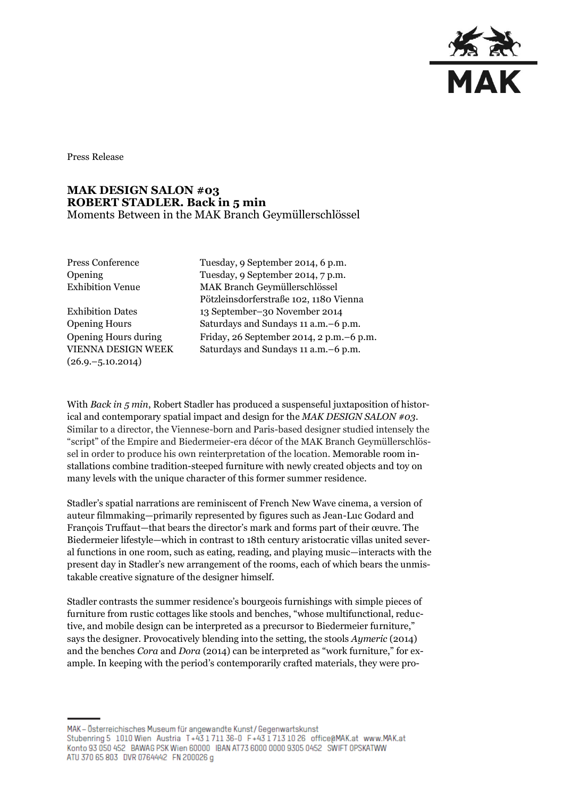

Press Release

## **MAK DESIGN SALON #03 ROBERT STADLER. Back in 5 min**  Moments Between in the MAK Branch Geymüllerschlössel

Opening Hours during VIENNA DESIGN WEEK  $(26.9,-5.10.2014)$ 

Press Conference Tuesday, 9 September 2014, 6 p.m. Opening Tuesday, 9 September 2014, 7 p.m. Exhibition Venue MAK Branch Geymüllerschlössel Pötzleinsdorferstraße 102, 1180 Vienna Exhibition Dates 13 September–30 November 2014 Opening Hours Saturdays and Sundays 11 a.m.–6 p.m. Friday, 26 September 2014, 2 p.m.–6 p.m. Saturdays and Sundays 11 a.m.–6 p.m.

With *Back in 5 min*, Robert Stadler has produced a suspenseful juxtaposition of historical and contemporary spatial impact and design for the *MAK DESIGN SALON #03.* Similar to a director, the Viennese-born and Paris-based designer studied intensely the "script" of the Empire and Biedermeier-era décor of the MAK Branch Geymüllerschlössel in order to produce his own reinterpretation of the location. Memorable room installations combine tradition-steeped furniture with newly created objects and toy on many levels with the unique character of this former summer residence.

Stadler's spatial narrations are reminiscent of French New Wave cinema, a version of auteur filmmaking—primarily represented by figures such as Jean-Luc Godard and François Truffaut—that bears the director's mark and forms part of their œuvre. The Biedermeier lifestyle—which in contrast to 18th century aristocratic villas united several functions in one room, such as eating, reading, and playing music—interacts with the present day in Stadler's new arrangement of the rooms, each of which bears the unmistakable creative signature of the designer himself.

Stadler contrasts the summer residence's bourgeois furnishings with simple pieces of furniture from rustic cottages like stools and benches, "whose multifunctional, reductive, and mobile design can be interpreted as a precursor to Biedermeier furniture," says the designer. Provocatively blending into the setting, the stools *Aymeric* (2014) and the benches *Cora* and *Dora* (2014) can be interpreted as "work furniture," for example. In keeping with the period's contemporarily crafted materials, they were pro-

MAK - Österreichisches Museum für angewandte Kunst/Gegenwartskunst Stubenring 5 1010 Wien Austria T+43 1711 36-0 F+43 1713 10 26 office@MAK.at www.MAK.at Konto 93 050 452 BAWAG PSK Wien 60000 BAN AT73 6000 0000 9305 0452 SWIFT 0PSKATWW ATU 370 65 803 DVR 0764442 FN 200026 g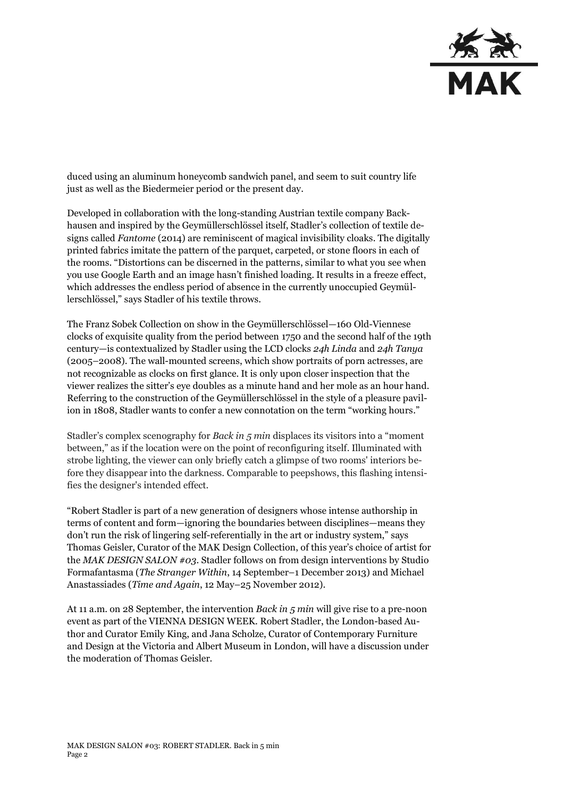

duced using an aluminum honeycomb sandwich panel, and seem to suit country life just as well as the Biedermeier period or the present day.

Developed in collaboration with the long-standing Austrian textile company Backhausen and inspired by the Geymüllerschlössel itself, Stadler's collection of textile designs called *Fantome* (2014) are reminiscent of magical invisibility cloaks. The digitally printed fabrics imitate the pattern of the parquet, carpeted, or stone floors in each of the rooms. "Distortions can be discerned in the patterns, similar to what you see when you use Google Earth and an image hasn't finished loading. It results in a freeze effect, which addresses the endless period of absence in the currently unoccupied Geymüllerschlössel," says Stadler of his textile throws.

The Franz Sobek Collection on show in the Geymüllerschlössel—160 Old-Viennese clocks of exquisite quality from the period between 1750 and the second half of the 19th century—is contextualized by Stadler using the LCD clocks *24h Linda* and *24h Tanya* (2005–2008). The wall-mounted screens, which show portraits of porn actresses, are not recognizable as clocks on first glance. It is only upon closer inspection that the viewer realizes the sitter's eye doubles as a minute hand and her mole as an hour hand. Referring to the construction of the Geymüllerschlössel in the style of a pleasure pavilion in 1808, Stadler wants to confer a new connotation on the term "working hours."

Stadler's complex scenography for *Back in 5 min* displaces its visitors into a "moment between," as if the location were on the point of reconfiguring itself. Illuminated with strobe lighting, the viewer can only briefly catch a glimpse of two rooms' interiors before they disappear into the darkness. Comparable to peepshows, this flashing intensifies the designer's intended effect.

"Robert Stadler is part of a new generation of designers whose intense authorship in terms of content and form—ignoring the boundaries between disciplines—means they don't run the risk of lingering self-referentially in the art or industry system," says Thomas Geisler, Curator of the MAK Design Collection, of this year's choice of artist for the *MAK DESIGN SALON #03*. Stadler follows on from design interventions by Studio Formafantasma (*The Stranger Within*, 14 September–1 December 2013) and Michael Anastassiades (*Time and Again*, 12 May–25 November 2012).

At 11 a.m. on 28 September, the intervention *Back in 5 min* will give rise to a pre-noon event as part of the VIENNA DESIGN WEEK. Robert Stadler, the London-based Author and Curator Emily King, and Jana Scholze, Curator of Contemporary Furniture and Design at the Victoria and Albert Museum in London, will have a discussion under the moderation of Thomas Geisler.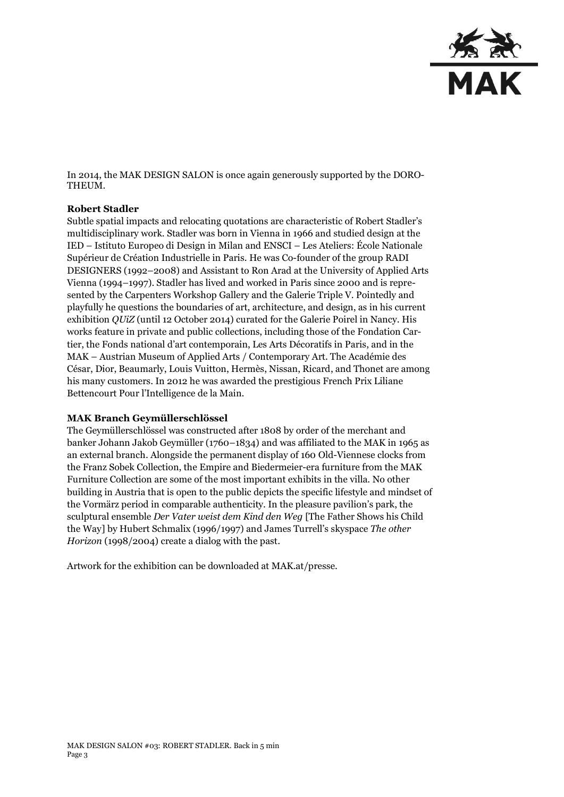

In 2014, the MAK DESIGN SALON is once again generously supported by the DORO-THEUM.

## **Robert Stadler**

Subtle spatial impacts and relocating quotations are characteristic of Robert Stadler's multidisciplinary work. Stadler was born in Vienna in 1966 and studied design at the IED – Istituto Europeo di Design in Milan and ENSCI – Les Ateliers: École Nationale Supérieur de Création Industrielle in Paris. He was Co-founder of the group RADI DESIGNERS (1992–2008) and Assistant to Ron Arad at the University of Applied Arts Vienna (1994–1997). Stadler has lived and worked in Paris since 2000 and is represented by the Carpenters Workshop Gallery and the Galerie Triple V. Pointedly and playfully he questions the boundaries of art, architecture, and design, as in his current exhibition *QUiZ* (until 12 October 2014) curated for the Galerie Poirel in Nancy. His works feature in private and public collections, including those of the Fondation Cartier, the Fonds national d'art contemporain, Les Arts Décoratifs in Paris, and in the MAK – Austrian Museum of Applied Arts / Contemporary Art. The Académie des César, Dior, Beaumarly, Louis Vuitton, Hermès, Nissan, Ricard, and Thonet are among his many customers. In 2012 he was awarded the prestigious French Prix Liliane Bettencourt Pour l'Intelligence de la Main.

## **MAK Branch Geymüllerschlössel**

The Geymüllerschlössel was constructed after 1808 by order of the merchant and banker Johann Jakob Geymüller (1760–1834) and was affiliated to the MAK in 1965 as an external branch. Alongside the permanent display of 160 Old-Viennese clocks from the Franz Sobek Collection, the Empire and Biedermeier-era furniture from the MAK Furniture Collection are some of the most important exhibits in the villa. No other building in Austria that is open to the public depicts the specific lifestyle and mindset of the Vormärz period in comparable authenticity. In the pleasure pavilion's park, the sculptural ensemble *Der Vater weist dem Kind den Weg* [The Father Shows his Child the Way] by Hubert Schmalix (1996/1997) and James Turrell's skyspace *The other Horizon* (1998/2004) create a dialog with the past.

Artwork for the exhibition can be downloaded at MAK.at/presse.